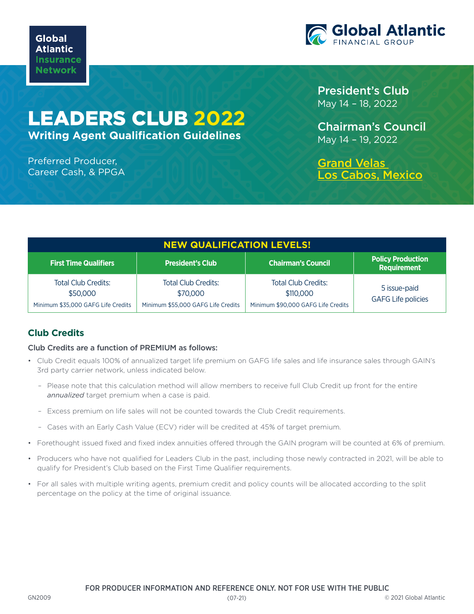

# LEADERS CLUB **2022**

**Writing Agent Qualification Guidelines**

#### Preferred Producer, Career Cash, & PPGA

President's Club May 14 – 18, 2022

Chairman's Council May 14 – 19, 2022

[Grand Velas](https://loscabos.grandvelas.com/)  [Los Cabos, Mexico](https://loscabos.grandvelas.com/)

| <b>NEW QUALIFICATION LEVELS!</b>                                             |                                                                              |                                                                               |                                                |
|------------------------------------------------------------------------------|------------------------------------------------------------------------------|-------------------------------------------------------------------------------|------------------------------------------------|
| <b>First Time Qualifiers</b>                                                 | <b>President's Club</b>                                                      | <b>Chairman's Council</b>                                                     | <b>Policy Production</b><br><b>Requirement</b> |
| <b>Total Club Credits:</b><br>\$50,000<br>Minimum \$35,000 GAFG Life Credits | <b>Total Club Credits:</b><br>\$70,000<br>Minimum \$55,000 GAFG Life Credits | <b>Total Club Credits:</b><br>\$110,000<br>Minimum \$90,000 GAFG Life Credits | 5 issue-paid<br><b>GAFG Life policies</b>      |

## **Club Credits**

### Club Credits are a function of PREMIUM as follows:

- Club Credit equals 100% of annualized target life premium on GAFG life sales and life insurance sales through GAIN's 3rd party carrier network, unless indicated below.
	- Please note that this calculation method will allow members to receive full Club Credit up front for the entire *annualized* target premium when a case is paid.
	- Excess premium on life sales will not be counted towards the Club Credit requirements.
	- Cases with an Early Cash Value (ECV) rider will be credited at 45% of target premium.
- Forethought issued fixed and fixed index annuities offered through the GAIN program will be counted at 6% of premium.
- Producers who have not qualified for Leaders Club in the past, including those newly contracted in 2021, will be able to qualify for President's Club based on the First Time Qualifier requirements.
- For all sales with multiple writing agents, premium credit and policy counts will be allocated according to the split percentage on the policy at the time of original issuance.